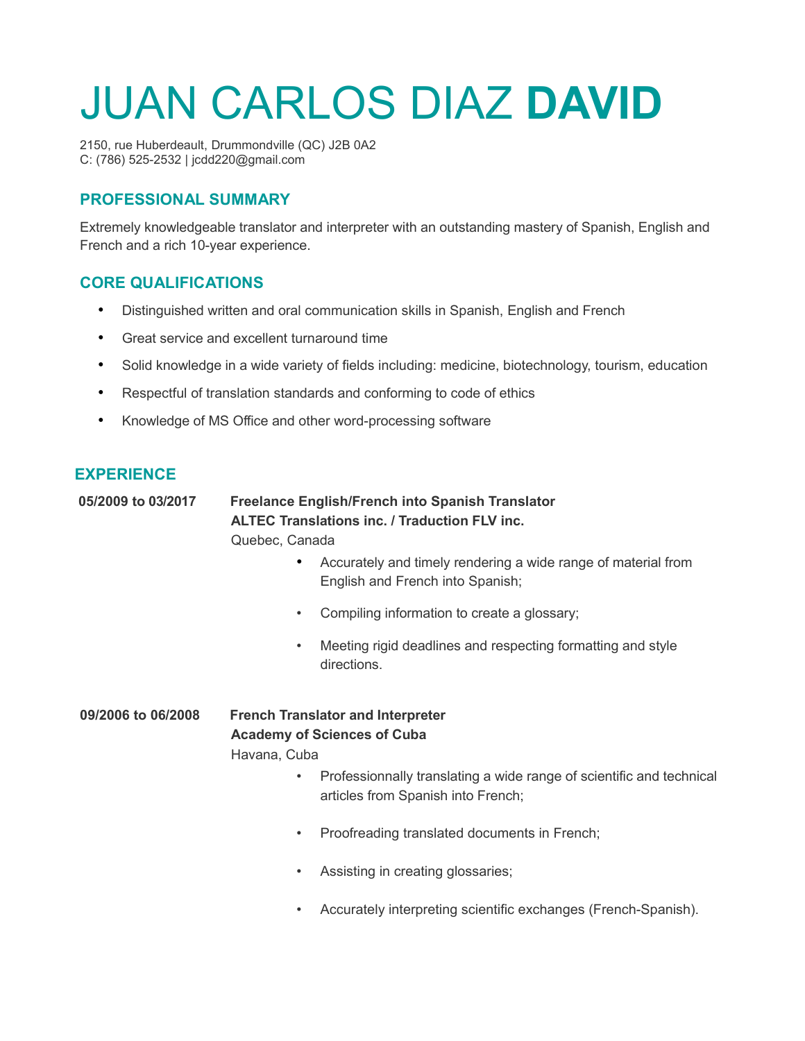# JUAN CARLOS DIAZ **DAVID**

2150, rue Huberdeault, Drummondville (QC) J2B 0A2 C: (786) 525-2532 | jcdd220@gmail.com

### **PROFESSIONAL SUMMARY**

Extremely knowledgeable translator and interpreter with an outstanding mastery of Spanish, English and French and a rich 10-year experience.

## **CORE QUALIFICATIONS**

- Distinguished written and oral communication skills in Spanish, English and French
- Great service and excellent turnaround time
- Solid knowledge in a wide variety of fields including: medicine, biotechnology, tourism, education
- Respectful of translation standards and conforming to code of ethics
- Knowledge of MS Office and other word-processing software

#### **EXPERIENCE**

# **05/2009 to 03/2017 Freelance English/French into Spanish Translator ALTEC Translations inc. / Traduction FLV inc.**

Quebec, Canada

- Accurately and timely rendering a wide range of material from English and French into Spanish;
- Compiling information to create a glossary;
- Meeting rigid deadlines and respecting formatting and style directions.

**09/2006 to 06/2008 French Translator and Interpreter Academy of Sciences of Cuba** Havana, Cuba

- Professionnally translating a wide range of scientific and technical articles from Spanish into French;
- Proofreading translated documents in French;
- Assisting in creating glossaries;
- Accurately interpreting scientific exchanges (French-Spanish).